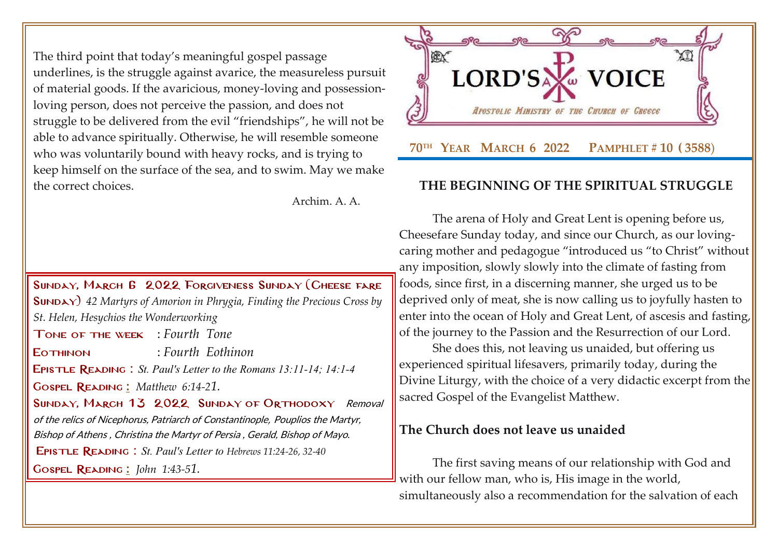The third point that today's meaningful gospel passage underlines, is the struggle against avarice, the measureless pursuit of material goods. If the avaricious, money-loving and possessionloving person, does not perceive the passion, and does not struggle to be delivered from the evil "friendships", he will not be able to advance spiritually. Otherwise, he will resemble someone who was voluntarily bound with heavy rocks, and is trying to keep himself on the surface of the sea, and to swim. May we make the correct choices.

Archim. A. A.

Sunday, March 6 2022 Forgiveness Sunday [\(Cheese fare](http://www.goarch.org/chapel/saints?contentid=1016&PCode=MEATS&D=S&date=02/27/2022) [Sunday\)](http://www.goarch.org/chapel/saints?contentid=1016&PCode=MEATS&D=S&date=02/27/2022) *42 Martyrs of Amorion in Phrygia, Finding the Precious Cross by St. Helen, Hesychios the Wonderworking* Tone of the week : *Fourth Tone* Eothinon : *Fourth Eothinon* Epistle Reading : *St. Paul's Letter to the Romans 13:11-14; 14:1-4* Gospel Reading **[:](http://www.goarch.org/chapel/lectionary?type=G&code=362&event=218)** *[Matthew 6:14-2](http://www.goarch.org/chapel/lectionary?type=G&code=402&event=408)[1.](http://www.goarch.org/chapel/lectionary?type=G&code=402&event=408)* SUNDAY, MARCH 13 2022 SUNDAY OF ORTHODOXY Removal [of the relics of Nicephorus, Patriarch of Constantinople](http://www.goarch.org/chapel/saints?contentid=458)*,* Pouplios the Martyr, Bishop of Athens , Christina the Martyr of Persia , Gerald, Bishop of Mayo*.* Epistle Reading : *St. Paul's Letter to [Hebrews 11:24-26, 32-40](http://www.goarch.org/chapel/lectionary?type=E&code=138&event=1027&date=03/13/2022)* Gospel Reading **[:](http://www.goarch.org/chapel/lectionary?type=G&code=362&event=218)** *John [1:43-5](http://www.goarch.org/chapel/lectionary?type=G&code=402&event=408)[1.](http://www.goarch.org/chapel/lectionary?type=G&code=402&event=408)*

國 LORD'S **VOICE** APOSTOLIC MINISTRY OF THE CHURCH OF GREECE  **70TH YEAR MARCH 6 2022 PAMPHLET # 10 ( 3588**)

## **THE BEGINNING OF THE SPIRITUAL STRUGGLE**

The arena of Holy and Great Lent is opening before us, Cheesefare Sunday today, and since our Church, as our lovingcaring mother and pedagogue "introduced us "to Christ" without any imposition, slowly slowly into the climate of fasting from foods, since first, in a discerning manner, she urged us to be deprived only of meat, she is now calling us to joyfully hasten to enter into the ocean of Holy and Great Lent, of ascesis and fasting, of the journey to the Passion and the Resurrection of our Lord.

She does this, not leaving us unaided, but offering us experienced spiritual lifesavers, primarily today, during the Divine Liturgy, with the choice of a very didactic excerpt from the sacred Gospel of the Evangelist Matthew.

## **The Church does not leave us unaided**

The first saving means of our relationship with God and with our fellow man, who is, His image in the world, simultaneously also a recommendation for the salvation of each